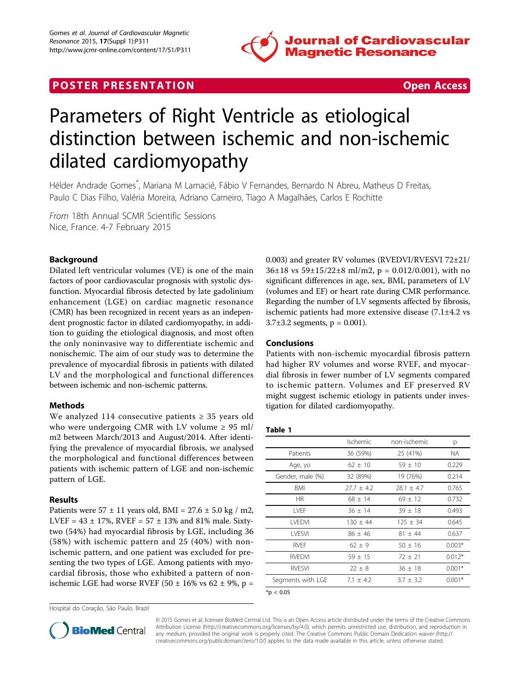

## **POSTER PRESENTATION CONSUMING THE SECOND CONSUMING THE SECOND CONSUMING THE SECOND CONSUMING THE SECOND CONSUMING THE SECOND CONSUMING THE SECOND CONSUMING THE SECOND CONSUMING THE SECOND CONSUMING THE SECOND CONSUMING**



# Parameters of Right Ventricle as etiological distinction between ischemic and non-ischemic dilated cardiomyopathy

Hélder Andrade Gomes\* , Mariana M Lamacié, Fábio V Fernandes, Bernardo N Abreu, Matheus D Freitas, Paulo C Dias Filho, Valéria Moreira, Adriano Carneiro, Tiago A Magalhães, Carlos E Rochitte

From 18th Annual SCMR Scientific Sessions Nice, France. 4-7 February 2015

### Background

Dilated left ventricular volumes (VE) is one of the main factors of poor cardiovascular prognosis with systolic dysfunction. Myocardial fibrosis detected by late gadolinium enhancement (LGE) on cardiac magnetic resonance (CMR) has been recognized in recent years as an independent prognostic factor in dilated cardiomyopathy, in addition to guiding the etiological diagnosis, and most often the only noninvasive way to differentiate ischemic and nonischemic. The aim of our study was to determine the prevalence of myocardial fibrosis in patients with dilated LV and the morphological and functional differences between ischemic and non-ischemic patterns.

#### Methods

We analyzed 114 consecutive patients  $\geq$  35 years old who were undergoing CMR with LV volume  $\geq 95$  ml/ m2 between March/2013 and August/2014. After identifying the prevalence of myocardial fibrosis, we analysed the morphological and functional differences between patients with ischemic pattern of LGE and non-ischemic pattern of LGE.

#### Results

Patients were  $57 \pm 11$  years old, BMI =  $27.6 \pm 5.0$  kg / m2, LVEF =  $43 \pm 17$ %, RVEF =  $57 \pm 13$ % and 81% male. Sixtytwo (54%) had myocardial fibrosis by LGE, including 36 (58%) with ischemic pattern and 25 (40%) with nonischemic pattern, and one patient was excluded for presenting the two types of LGE. Among patients with myocardial fibrosis, those who exhibited a pattern of nonischemic LGE had worse RVEF (50  $\pm$  16% vs 62  $\pm$  9%, p =

Hospital do Coração, São Paulo, Brazil



#### Conclusions

Patients with non-ischemic myocardial fibrosis pattern had higher RV volumes and worse RVEF, and myocardial fibrosis in fewer number of LV segments compared to ischemic pattern. Volumes and EF preserved RV might suggest ischemic etiology in patients under investigation for dilated cardiomyopathy.

#### Table 1

|                   | Ischemic       | non-ischemic | р        |
|-------------------|----------------|--------------|----------|
| Patients          | 36 (59%)       | 25 (41%)     | NA.      |
| Age, yo           | $62 + 10$      | $59 \pm 10$  | 0.229    |
| Gender, male (%)  | 32 (89%)       | 19 (76%)     | 0.214    |
| <b>BMI</b>        | $27.7 \pm 4.2$ | $28.1 + 4.7$ | 0.765    |
| HR.               | $68 + 14$      | $69 + 12$    | 0.732    |
| I VFF             | $36 \pm 14$    | $39 \pm 18$  | 0.493    |
| <b>I VEDVI</b>    | $130 + 44$     | $125 + 34$   | 0.645    |
| <b>I VESVI</b>    | $86 + 46$      | $81 + 44$    | 0.637    |
| <b>RVFF</b>       | $62 \pm 9$     | $50 \pm 16$  | $0.003*$ |
| <b>RVFDVI</b>     | $59 + 15$      | $72 + 21$    | $0.012*$ |
| <b>RVESVI</b>     | $22 \pm 8$     | $36 \pm 18$  | $0.001*$ |
| Segments with LGE | $7.1 + 4.2$    | $3.7 + 3.2$  | $0.001*$ |
|                   |                |              |          |

 $*<sub>p</sub> < 0.05$ 



© 2015 Gomes et al; licensee BioMed Central Ltd. This is an Open Access article distributed under the terms of the Creative Commons Attribution License [\(http://creativecommons.org/licenses/by/4.0](http://creativecommons.org/licenses/by/4.0)), which permits unrestricted use, distribution, and reproduction in any medium, provided the original work is properly cited. The Creative Commons Public Domain Dedication waiver [\(http://](http://creativecommons.org/publicdomain/zero/1.0/) [creativecommons.org/publicdomain/zero/1.0/](http://creativecommons.org/publicdomain/zero/1.0/)) applies to the data made available in this article, unless otherwise stated.